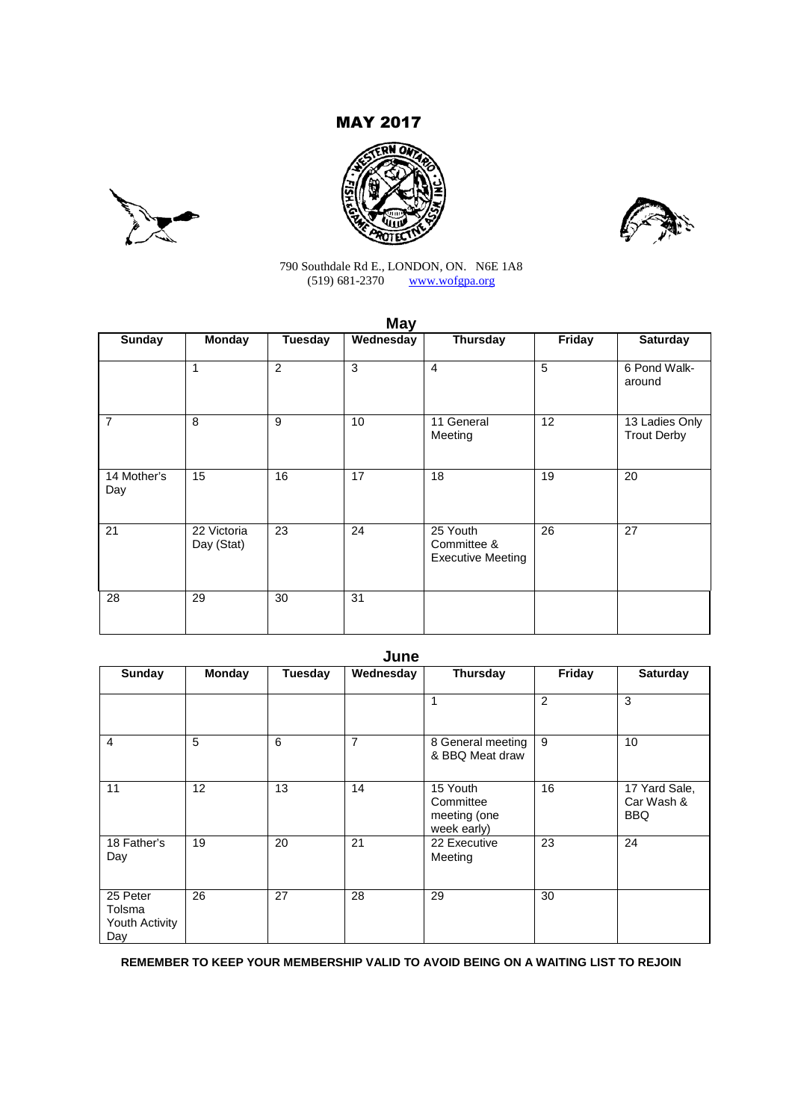## MAY 2017







### 790 Southdale Rd E., LONDON, ON. N6E 1A8 (519) 681-2370 www.wofgpa.org

| <b>May</b>         |                           |                |           |                                                     |        |                                      |
|--------------------|---------------------------|----------------|-----------|-----------------------------------------------------|--------|--------------------------------------|
| <b>Sunday</b>      | <b>Monday</b>             | <b>Tuesday</b> | Wednesday | <b>Thursday</b>                                     | Friday | <b>Saturday</b>                      |
|                    | 1                         | 2              | 3         | $\overline{4}$                                      | 5      | 6 Pond Walk-<br>around               |
| $\overline{7}$     | 8                         | 9              | 10        | 11 General<br>Meeting                               | 12     | 13 Ladies Only<br><b>Trout Derby</b> |
| 14 Mother's<br>Day | 15                        | 16             | 17        | 18                                                  | 19     | 20                                   |
| 21                 | 22 Victoria<br>Day (Stat) | 23             | 24        | 25 Youth<br>Committee &<br><b>Executive Meeting</b> | 26     | 27                                   |
| 28                 | 29                        | 30             | 31        |                                                     |        |                                      |

| M.<br>۰.<br>× | ×<br>v |
|---------------|--------|
|---------------|--------|

| <b>Sunday</b>                               | <b>Monday</b> | <b>Tuesday</b> | Wednesday | <b>Thursday</b>                                      | Friday         | <b>Saturday</b>                           |
|---------------------------------------------|---------------|----------------|-----------|------------------------------------------------------|----------------|-------------------------------------------|
|                                             |               |                |           |                                                      | $\overline{2}$ | 3                                         |
| 4                                           | 5             | 6              | 7         | 8 General meeting<br>& BBQ Meat draw                 | 9              | 10                                        |
| 11                                          | 12            | 13             | 14        | 15 Youth<br>Committee<br>meeting (one<br>week early) | 16             | 17 Yard Sale,<br>Car Wash &<br><b>BBQ</b> |
| 18 Father's<br>Day                          | 19            | 20             | 21        | 22 Executive<br>Meeting                              | 23             | 24                                        |
| 25 Peter<br>Tolsma<br>Youth Activity<br>Day | 26            | 27             | 28        | 29                                                   | 30             |                                           |

**REMEMBER TO KEEP YOUR MEMBERSHIP VALID TO AVOID BEING ON A WAITING LIST TO REJOIN**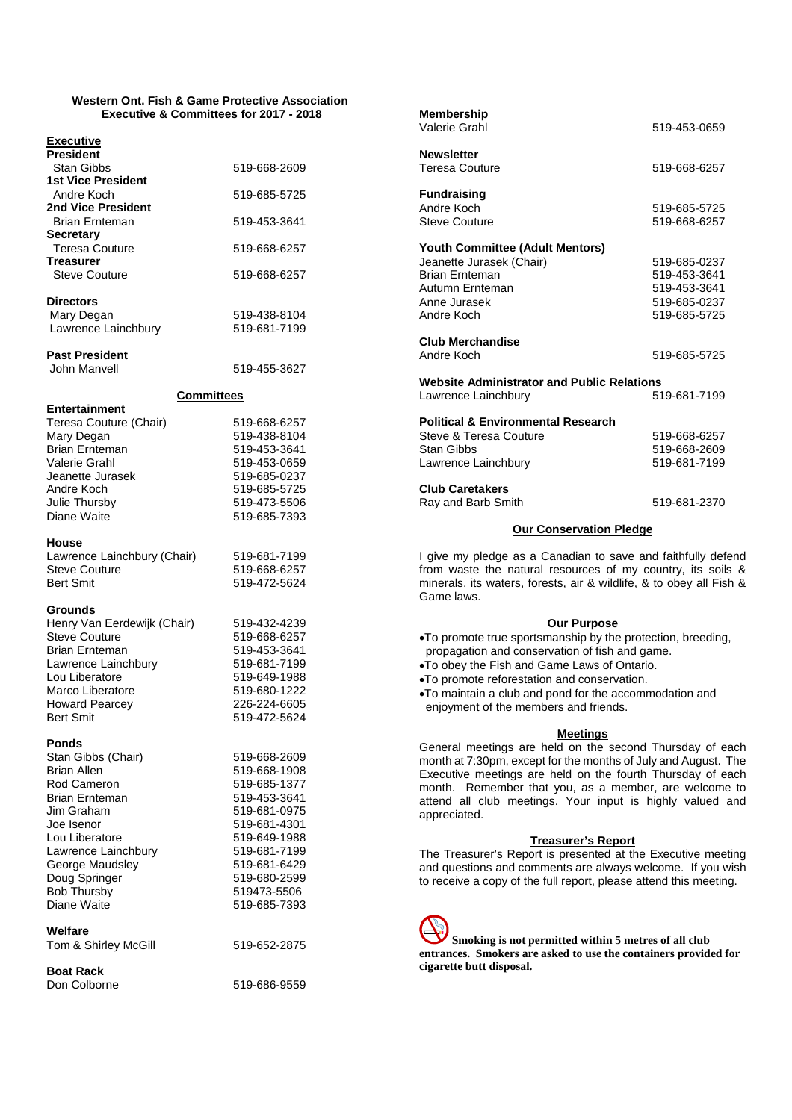### **Western Ont. Fish & Game Protective Association Executive & Committees for 2017 - 2018**

| <b>Executive</b><br><b>President</b>                                                                                                                                                                     |                                                                                                                              |
|----------------------------------------------------------------------------------------------------------------------------------------------------------------------------------------------------------|------------------------------------------------------------------------------------------------------------------------------|
| Stan Gibbs<br><b>1st Vice President</b>                                                                                                                                                                  | 519-668-2609                                                                                                                 |
| Andre Koch<br>2nd Vice President                                                                                                                                                                         | 519-685-5725                                                                                                                 |
| <b>Brian Ernteman</b>                                                                                                                                                                                    | 519-453-3641                                                                                                                 |
| <b>Secretary</b><br><b>Teresa Couture</b><br><b>Treasurer</b>                                                                                                                                            | 519-668-6257                                                                                                                 |
| <b>Steve Couture</b>                                                                                                                                                                                     | 519-668-6257                                                                                                                 |
| <b>Directors</b>                                                                                                                                                                                         |                                                                                                                              |
| Mary Degan<br>Lawrence Lainchbury                                                                                                                                                                        | 519-438-8104<br>519-681-7199                                                                                                 |
| <b>Past President</b>                                                                                                                                                                                    |                                                                                                                              |
| <b>John Manvell</b>                                                                                                                                                                                      | 519-455-3627                                                                                                                 |
| <b>Committees</b><br><b>Entertainment</b>                                                                                                                                                                |                                                                                                                              |
| Teresa Couture (Chair)<br>Mary Degan<br><b>Brian Ernteman</b><br>Valerie Grahl<br>Jeanette Jurasek<br>Andre Koch<br>Julie Thursby<br>Diane Waite                                                         | 519-668-6257<br>519-438-8104<br>519-453-3641<br>519-453-0659<br>519-685-0237<br>519-685-5725<br>519-473-5506<br>519-685-7393 |
| <b>House</b><br>Lawrence Lainchbury (Chair)<br><b>Steve Couture</b><br><b>Bert Smit</b>                                                                                                                  | 519-681-7199<br>519-668-6257<br>519-472-5624                                                                                 |
| <b>Grounds</b><br>Henry Van Eerdewijk (Chair)<br><b>Steve Couture</b><br><b>Brian Ernteman</b><br>Lawrence Lainchbury<br>Lou Liberatore<br>Marco Liberatore<br><b>Howard Pearcey</b><br><b>Bert Smit</b> | 519-432-4239<br>519-668-6257<br>519-453-3641<br>519-681-7199<br>519-649-1988<br>519-680-1222<br>226-224-6605<br>519-472-5624 |
| <b>Ponds</b><br>Stan Gibbs (Chair)<br><b>Brian Allen</b><br>Rod Cameron<br><b>Brian Ernteman</b><br>lim Graham.                                                                                          | 519-668-2609<br>519-668-1908<br>519-685-1377<br>519-453-3641<br>519-681-0975                                                 |

Joe Isenor 519-681-4301 Lou Liberatore 619-649-1988<br>
Lawrence Lainchbury 619-681-7199

George Maudsley 519-681-6429 Doug Springer 519-680-2599 Bob Thursby 619473-5506<br>Diane Waite 619-685-7393

Tom & Shirley McGill 519-652-2875

| Anne Jurasek<br>Andre Koch                                                                                                                                                                                                           | 519-685-0237<br>519-685-5725                 |
|--------------------------------------------------------------------------------------------------------------------------------------------------------------------------------------------------------------------------------------|----------------------------------------------|
| <b>Club Merchandise</b><br>Andre Koch                                                                                                                                                                                                | 519-685-5725                                 |
| <b>Website Administrator and Public Relations</b><br>Lawrence Lainchbury                                                                                                                                                             | 519-681-7199                                 |
| <b>Political &amp; Environmental Research</b><br>Steve & Teresa Couture<br>Stan Gibbs<br>Lawrence Lainchbury                                                                                                                         | 519-668-6257<br>519-668-2609<br>519-681-7199 |
| <b>Club Caretakers</b><br>Ray and Barb Smith                                                                                                                                                                                         | 519-681-2370                                 |
| <b>Our Conservation Pledge</b>                                                                                                                                                                                                       |                                              |
| I give my pledge as a Canadian to save and faithfully defend<br>from waste the natural resources of my country, its soils &<br>minerals, its waters, forests, air & wildlife, & to obey all Fish &<br>Game laws.                     |                                              |
| Our Purpose<br>•To promote true sportsmanship by the protection, breeding,<br>propagation and conservation of fish and game.<br>. To obey the Fish and Game Laws of Ontario.<br>•To promote reforestation and conservation.          |                                              |
| $\blacksquare$ . The contract of the contract of the contract of the contract of the contract of the contract of the contract of the contract of the contract of the contract of the contract of the contract of the contract of the |                                              |

**Youth Committee (Adult Mentors)**

**Membership**

**Newsletter**

**Fundraising**

Steve Couture

Autumn Frnteman

To maintain a club and pond for the accommodation and enjoyment of the members and friends.

Teresa Couture 619-668-6257

Andre Koch 519-685-5725

Jeanette Jurasek (Chair) 519-685-0237 Brian Ernteman 519-453-3641

### **Meetings**

519-453-0659

General meetings are held on the second Thursday of each month at 7:30pm, except for the months of July and August. The Executive meetings are held on the fourth Thursday of each month. Remember that you, as a member, are welcome to attend all club meetings. Your input is highly valued and appreciated.

### **Treasurer's Report**

The Treasurer's Report is presented at the Executive meeting and questions and comments are always welcome. If you wish to receive a copy of the full report, please attend this meeting.

**Smoking is not permitted within 5 metres of all club entrances. Smokers are asked to use the containers provided for cigarette butt disposal.**

# **Boat Rack**

**Welfare**

Lawrence Lainchbury

Don Colborne 519-686-9559

519-685-7393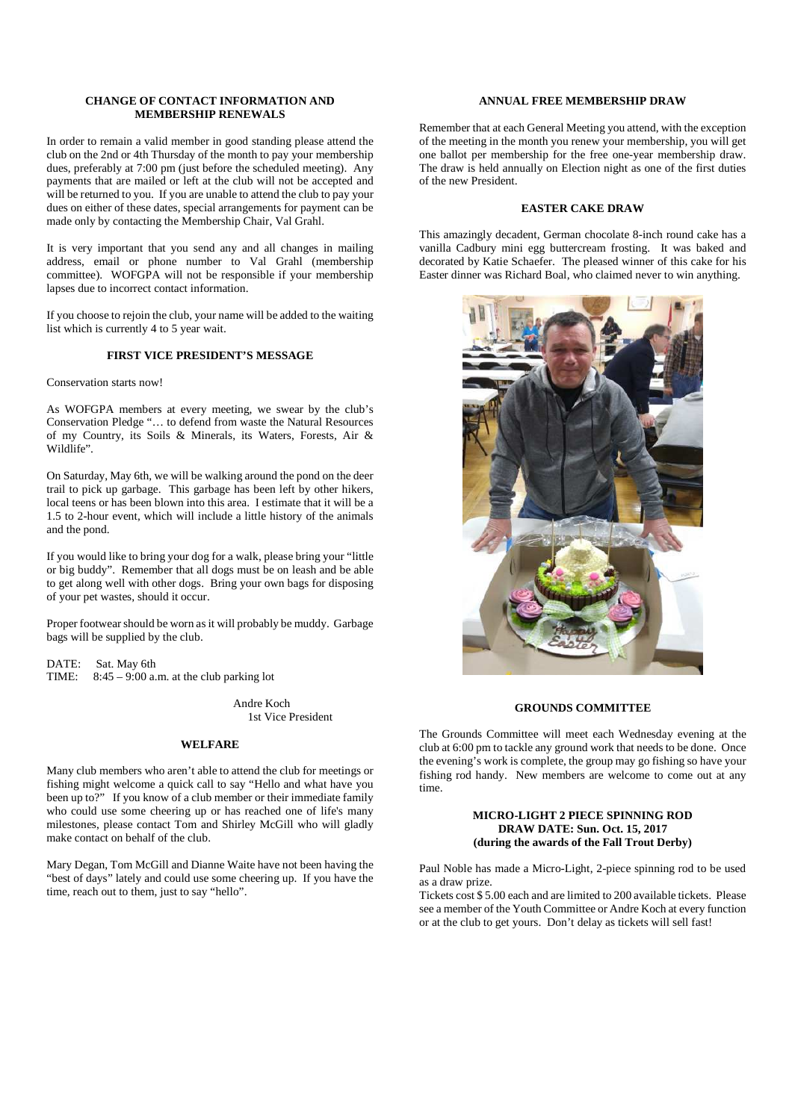### **CHANGE OF CONTACT INFORMATION AND MEMBERSHIP RENEWALS**

In order to remain a valid member in good standing please attend the club on the 2nd or 4th Thursday of the month to pay your membership dues, preferably at 7:00 pm (just before the scheduled meeting). Any payments that are mailed or left at the club will not be accepted and will be returned to you. If you are unable to attend the club to pay your dues on either of these dates, special arrangements for payment can be made only by contacting the Membership Chair, Val Grahl.

It is very important that you send any and all changes in mailing address, email or phone number to Val Grahl (membership committee). WOFGPA will not be responsible if your membership lapses due to incorrect contact information.

If you choose to rejoin the club, your name will be added to the waiting list which is currently 4 to 5 year wait.

### **FIRST VICE PRESIDENT'S MESSAGE**

Conservation starts now!

As WOFGPA members at every meeting, we swear by the club's Conservation Pledge "… to defend from waste the Natural Resources of my Country, its Soils & Minerals, its Waters, Forests, Air & Wildlife".

On Saturday, May 6th, we will be walking around the pond on the deer trail to pick up garbage. This garbage has been left by other hikers, local teens or has been blown into this area. I estimate that it will be a 1.5 to 2-hour event, which will include a little history of the animals and the pond.

If you would like to bring your dog for a walk, please bring your "little or big buddy". Remember that all dogs must be on leash and be able to get along well with other dogs. Bring your own bags for disposing of your pet wastes, should it occur.

Proper footwear should be worn as it will probably be muddy. Garbage bags will be supplied by the club.

DATE: Sat. May 6th<br>TIME: 8:45 - 9:00 a.  $8:45 - 9:00$  a.m. at the club parking lot

> Andre Koch 1st Vice President

#### **WELFARE**

Many club members who aren't able to attend the club for meetings or fishing might welcome a quick call to say "Hello and what have you been up to?" If you know of a club member or their immediate family who could use some cheering up or has reached one of life's many milestones, please contact Tom and Shirley McGill who will gladly make contact on behalf of the club.

Mary Degan, Tom McGill and Dianne Waite have not been having the "best of days" lately and could use some cheering up. If you have the time, reach out to them, just to say "hello".

### **ANNUAL FREE MEMBERSHIP DRAW**

Remember that at each General Meeting you attend, with the exception of the meeting in the month you renew your membership, you will get one ballot per membership for the free one-year membership draw. The draw is held annually on Election night as one of the first duties of the new President.

#### **EASTER CAKE DRAW**

This amazingly decadent, German chocolate 8-inch round cake has a vanilla Cadbury mini egg buttercream frosting. It was baked and decorated by Katie Schaefer. The pleased winner of this cake for his Easter dinner was Richard Boal, who claimed never to win anything.



### **GROUNDS COMMITTEE**

The Grounds Committee will meet each Wednesday evening at the club at 6:00 pm to tackle any ground work that needs to be done. Once the evening's work is complete, the group may go fishing so have your fishing rod handy. New members are welcome to come out at any time.

### **MICRO-LIGHT 2 PIECE SPINNING ROD DRAW DATE: Sun. Oct. 15, 2017 (during the awards of the Fall Trout Derby)**

Paul Noble has made a Micro-Light, 2-piece spinning rod to be used as a draw prize.

Tickets cost \$ 5.00 each and are limited to 200 available tickets. Please see a member of the Youth Committee or Andre Koch at every function or at the club to get yours. Don't delay as tickets will sell fast!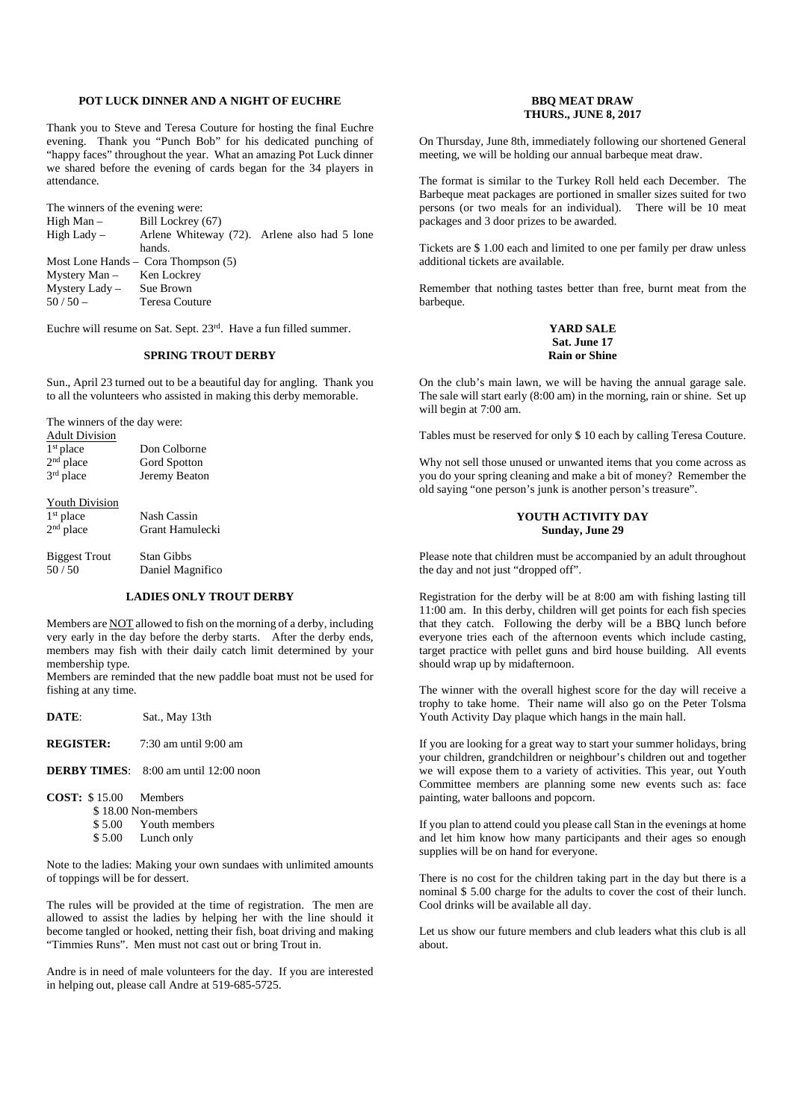#### **POT LUCK DINNER AND A NIGHT OF EUCHRE**

Thank you to Steve and Teresa Couture for hosting the final Euchre evening. Thank you "Punch Bob" for his dedicated punching of "happy faces" throughout the year. What an amazing Pot Luck dinner we shared before the evening of cards began for the 34 players in attendance.

| The winners of the evening were: |                                              |  |
|----------------------------------|----------------------------------------------|--|
| $High Man -$                     | Bill Lockrey (67)                            |  |
| High Lady –                      | Arlene Whiteway (72). Arlene also had 5 lone |  |
|                                  | hands.                                       |  |
|                                  | Most Lone Hands – Cora Thompson $(5)$        |  |
| Mystery Man - Ken Lockrey        |                                              |  |
| Mystery Lady - Sue Brown         |                                              |  |
| $50/50 -$                        | <b>Teresa Couture</b>                        |  |
|                                  |                                              |  |

Euchre will resume on Sat. Sept. 23rd. Have a fun filled summer.

### **SPRING TROUT DERBY**

Sun., April 23 turned out to be a beautiful day for angling. Thank you to all the volunteers who assisted in making this derby memorable.

The winners of the day were:

| <b>Adult Division</b> |               |
|-----------------------|---------------|
| $1st$ place           | Don Colborne  |
| 2 <sup>nd</sup> place | Gord Spotton  |
| 3rd place             | Jeremy Beaton |
| <b>Youth Division</b> |               |
|                       |               |

| $1st$ place | Nash Cassin     |
|-------------|-----------------|
| $2nd$ place | Grant Hamulecki |

Biggest Trout Stan Gibbs<br>50 / 50 Daniel Mas Daniel Magnifico

#### **LADIES ONLY TROUT DERBY**

Members are NOT allowed to fish on the morning of a derby, including very early in the day before the derby starts. After the derby ends, members may fish with their daily catch limit determined by your membership type.

Members are reminded that the new paddle boat must not be used for fishing at any time.

**DATE**: Sat., May 13th

**REGISTER:** 7:30 am until 9:00 am

#### **DERBY TIMES**: 8:00 am until 12:00 noon

- **COST:** \$ 15.00 Members
	- \$ 18.00 Non-members
	- \$ 5.00 Youth members<br>\$ 5.00 Lunch only
	- Lunch only

Note to the ladies: Making your own sundaes with unlimited amounts of toppings will be for dessert.

The rules will be provided at the time of registration. The men are allowed to assist the ladies by helping her with the line should it become tangled or hooked, netting their fish, boat driving and making "Timmies Runs". Men must not cast out or bring Trout in.

Andre is in need of male volunteers for the day. If you are interested in helping out, please call Andre at 519-685-5725.

### **BBQ MEAT DRAW THURS., JUNE 8, 2017**

On Thursday, June 8th, immediately following our shortened General meeting, we will be holding our annual barbeque meat draw.

The format is similar to the Turkey Roll held each December. The Barbeque meat packages are portioned in smaller sizes suited for two persons (or two meals for an individual). There will be 10 meat packages and 3 door prizes to be awarded.

Tickets are \$ 1.00 each and limited to one per family per draw unless additional tickets are available.

Remember that nothing tastes better than free, burnt meat from the barbeque.

### **YARD SALE Sat. June 17 Rain or Shine**

On the club's main lawn, we will be having the annual garage sale. The sale will start early (8:00 am) in the morning, rain or shine. Set up will begin at 7:00 am.

Tables must be reserved for only \$ 10 each by calling Teresa Couture.

Why not sell those unused or unwanted items that you come across as you do your spring cleaning and make a bit of money? Remember the old saying "one person's junk is another person's treasure".

### **YOUTH ACTIVITY DAY Sunday, June 29**

Please note that children must be accompanied by an adult throughout the day and not just "dropped off".

Registration for the derby will be at 8:00 am with fishing lasting till 11:00 am. In this derby, children will get points for each fish species that they catch. Following the derby will be a BBQ lunch before everyone tries each of the afternoon events which include casting, target practice with pellet guns and bird house building. All events should wrap up by midafternoon.

The winner with the overall highest score for the day will receive a trophy to take home. Their name will also go on the Peter Tolsma Youth Activity Day plaque which hangs in the main hall.

If you are looking for a great way to start your summer holidays, bring your children, grandchildren or neighbour's children out and together we will expose them to a variety of activities. This year, out Youth Committee members are planning some new events such as: face painting, water balloons and popcorn.

If you plan to attend could you please call Stan in the evenings at home and let him know how many participants and their ages so enough supplies will be on hand for everyone.

There is no cost for the children taking part in the day but there is a nominal \$ 5.00 charge for the adults to cover the cost of their lunch. Cool drinks will be available all day.

Let us show our future members and club leaders what this club is all about.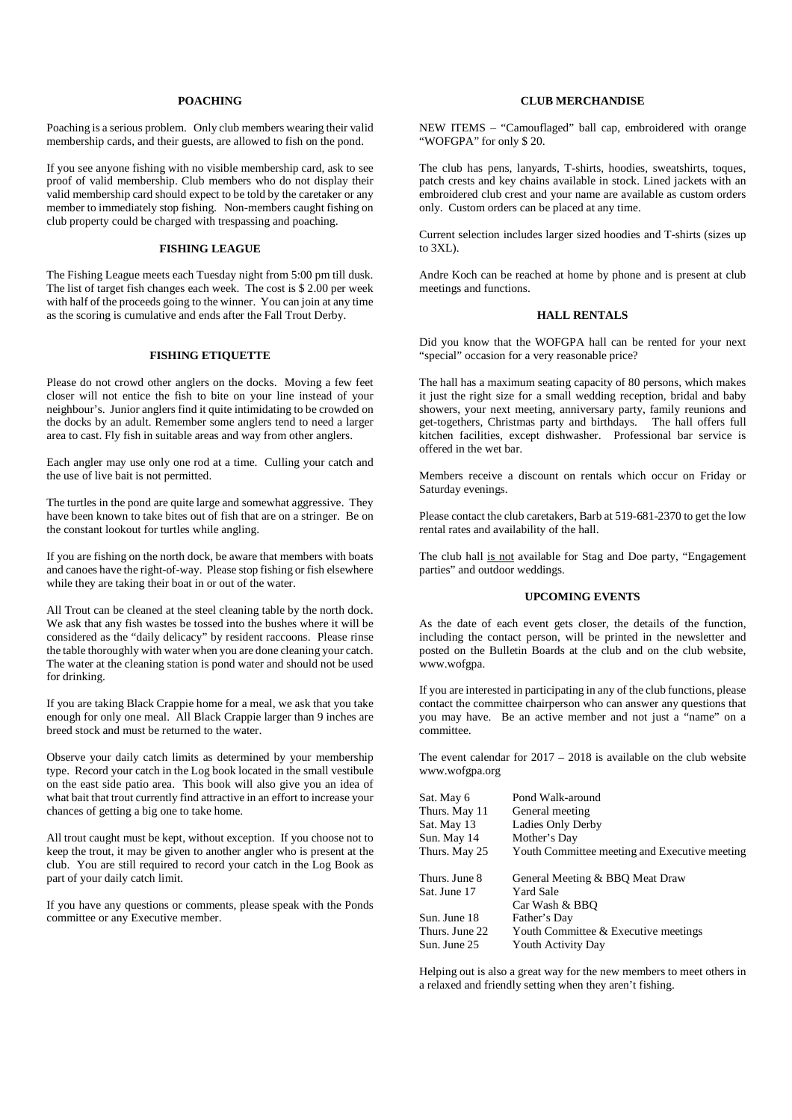#### **POACHING**

Poaching is a serious problem. Only club members wearing their valid membership cards, and their guests, are allowed to fish on the pond.

If you see anyone fishing with no visible membership card, ask to see proof of valid membership. Club members who do not display their valid membership card should expect to be told by the caretaker or any member to immediately stop fishing. Non-members caught fishing on club property could be charged with trespassing and poaching.

### **FISHING LEAGUE**

The Fishing League meets each Tuesday night from 5:00 pm till dusk. The list of target fish changes each week. The cost is \$ 2.00 per week with half of the proceeds going to the winner. You can join at any time as the scoring is cumulative and ends after the Fall Trout Derby.

### **FISHING ETIQUETTE**

Please do not crowd other anglers on the docks. Moving a few feet closer will not entice the fish to bite on your line instead of your neighbour's. Junior anglers find it quite intimidating to be crowded on the docks by an adult. Remember some anglers tend to need a larger area to cast. Fly fish in suitable areas and way from other anglers.

Each angler may use only one rod at a time. Culling your catch and the use of live bait is not permitted.

The turtles in the pond are quite large and somewhat aggressive. They have been known to take bites out of fish that are on a stringer. Be on the constant lookout for turtles while angling.

If you are fishing on the north dock, be aware that members with boats and canoes have the right-of-way. Please stop fishing or fish elsewhere while they are taking their boat in or out of the water.

All Trout can be cleaned at the steel cleaning table by the north dock. We ask that any fish wastes be tossed into the bushes where it will be considered as the "daily delicacy" by resident raccoons. Please rinse the table thoroughly with water when you are done cleaning your catch. The water at the cleaning station is pond water and should not be used for drinking.

If you are taking Black Crappie home for a meal, we ask that you take enough for only one meal. All Black Crappie larger than 9 inches are breed stock and must be returned to the water.

Observe your daily catch limits as determined by your membership type. Record your catch in the Log book located in the small vestibule on the east side patio area. This book will also give you an idea of what bait that trout currently find attractive in an effort to increase your chances of getting a big one to take home.

All trout caught must be kept, without exception. If you choose not to keep the trout, it may be given to another angler who is present at the club. You are still required to record your catch in the Log Book as part of your daily catch limit.

If you have any questions or comments, please speak with the Ponds committee or any Executive member.

### **CLUB MERCHANDISE**

NEW ITEMS – "Camouflaged" ball cap, embroidered with orange "WOFGPA" for only \$ 20.

The club has pens, lanyards, T-shirts, hoodies, sweatshirts, toques, patch crests and key chains available in stock. Lined jackets with an embroidered club crest and your name are available as custom orders only. Custom orders can be placed at any time.

Current selection includes larger sized hoodies and T-shirts (sizes up to 3XL).

Andre Koch can be reached at home by phone and is present at club meetings and functions.

### **HALL RENTALS**

Did you know that the WOFGPA hall can be rented for your next "special" occasion for a very reasonable price?

The hall has a maximum seating capacity of 80 persons, which makes it just the right size for a small wedding reception, bridal and baby showers, your next meeting, anniversary party, family reunions and get-togethers, Christmas party and birthdays. The hall offers full kitchen facilities, except dishwasher. Professional bar service is offered in the wet bar.

Members receive a discount on rentals which occur on Friday or Saturday evenings.

Please contact the club caretakers, Barb at 519-681-2370 to get the low rental rates and availability of the hall.

The club hall is not available for Stag and Doe party, "Engagement parties" and outdoor weddings.

#### **UPCOMING EVENTS**

As the date of each event gets closer, the details of the function, including the contact person, will be printed in the newsletter and posted on the Bulletin Boards at the club and on the club website, www.wofgpa.

If you are interested in participating in any of the club functions, please contact the committee chairperson who can answer any questions that you may have. Be an active member and not just a "name" on a committee.

The event calendar for  $2017 - 2018$  is available on the club website www.wofgpa.org

| Sat. May 6     | Pond Walk-around                              |
|----------------|-----------------------------------------------|
| Thurs. May 11  | General meeting                               |
| Sat. May 13    | Ladies Only Derby                             |
| Sun. May 14    | Mother's Day                                  |
| Thurs. May 25  | Youth Committee meeting and Executive meeting |
| Thurs. June 8  | General Meeting & BBQ Meat Draw               |
| Sat. June 17   | <b>Yard Sale</b>                              |
|                | Car Wash & BBO                                |
| Sun. June 18   | Father's Day                                  |
| Thurs. June 22 | Youth Committee & Executive meetings          |
| Sun. June 25   | Youth Activity Day                            |

Helping out is also a great way for the new members to meet others in a relaxed and friendly setting when they aren't fishing.